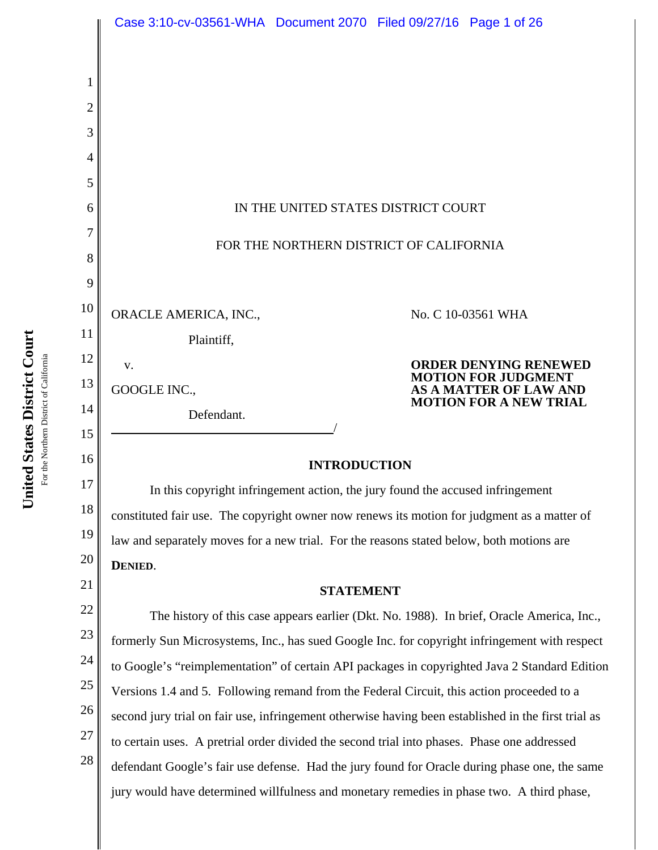|                  | Case 3:10-cv-03561-WHA  Document 2070  Filed 09/27/16  Page 1 of 26                                                                                                                          |                                                                                           |  |                                                                                           |  |  |
|------------------|----------------------------------------------------------------------------------------------------------------------------------------------------------------------------------------------|-------------------------------------------------------------------------------------------|--|-------------------------------------------------------------------------------------------|--|--|
| 1<br>2<br>3<br>4 |                                                                                                                                                                                              |                                                                                           |  |                                                                                           |  |  |
| 5                |                                                                                                                                                                                              |                                                                                           |  |                                                                                           |  |  |
| 6                | IN THE UNITED STATES DISTRICT COURT                                                                                                                                                          |                                                                                           |  |                                                                                           |  |  |
| 7<br>8           | FOR THE NORTHERN DISTRICT OF CALIFORNIA                                                                                                                                                      |                                                                                           |  |                                                                                           |  |  |
| 9                |                                                                                                                                                                                              |                                                                                           |  |                                                                                           |  |  |
| 10               | ORACLE AMERICA, INC.,                                                                                                                                                                        |                                                                                           |  | No. C 10-03561 WHA                                                                        |  |  |
| 11               | Plaintiff,                                                                                                                                                                                   |                                                                                           |  |                                                                                           |  |  |
| 12               | V.                                                                                                                                                                                           |                                                                                           |  | <b>ORDER DENYING RENEWED</b><br><b>MOTION FOR JUDGMENT</b>                                |  |  |
| 13               | GOOGLE INC.,                                                                                                                                                                                 |                                                                                           |  | <b>AS A MATTER OF LAW AND</b><br><b>MOTION FOR A NEW TRIAL</b>                            |  |  |
| 14<br>15         | Defendant.                                                                                                                                                                                   |                                                                                           |  |                                                                                           |  |  |
| 16               |                                                                                                                                                                                              |                                                                                           |  |                                                                                           |  |  |
| 17               | <b>INTRODUCTION</b>                                                                                                                                                                          |                                                                                           |  |                                                                                           |  |  |
| 18               | In this copyright infringement action, the jury found the accused infringement                                                                                                               |                                                                                           |  |                                                                                           |  |  |
| 19               | constituted fair use. The copyright owner now renews its motion for judgment as a matter of<br>law and separately moves for a new trial. For the reasons stated below, both motions are      |                                                                                           |  |                                                                                           |  |  |
| 20               | DENIED.                                                                                                                                                                                      |                                                                                           |  |                                                                                           |  |  |
| 21               |                                                                                                                                                                                              | <b>STATEMENT</b>                                                                          |  |                                                                                           |  |  |
| 22               |                                                                                                                                                                                              |                                                                                           |  | The history of this case appears earlier (Dkt. No. 1988). In brief, Oracle America, Inc., |  |  |
| 23               | formerly Sun Microsystems, Inc., has sued Google Inc. for copyright infringement with respect                                                                                                |                                                                                           |  |                                                                                           |  |  |
| 24               | to Google's "reimplementation" of certain API packages in copyrighted Java 2 Standard Edition                                                                                                |                                                                                           |  |                                                                                           |  |  |
| 25<br>26         |                                                                                                                                                                                              | Versions 1.4 and 5. Following remand from the Federal Circuit, this action proceeded to a |  |                                                                                           |  |  |
| 27               | second jury trial on fair use, infringement otherwise having been established in the first trial as                                                                                          |                                                                                           |  |                                                                                           |  |  |
| 28               | to certain uses. A pretrial order divided the second trial into phases. Phase one addressed<br>defendant Google's fair use defense. Had the jury found for Oracle during phase one, the same |                                                                                           |  |                                                                                           |  |  |
|                  | jury would have determined willfulness and monetary remedies in phase two. A third phase,                                                                                                    |                                                                                           |  |                                                                                           |  |  |
|                  |                                                                                                                                                                                              |                                                                                           |  |                                                                                           |  |  |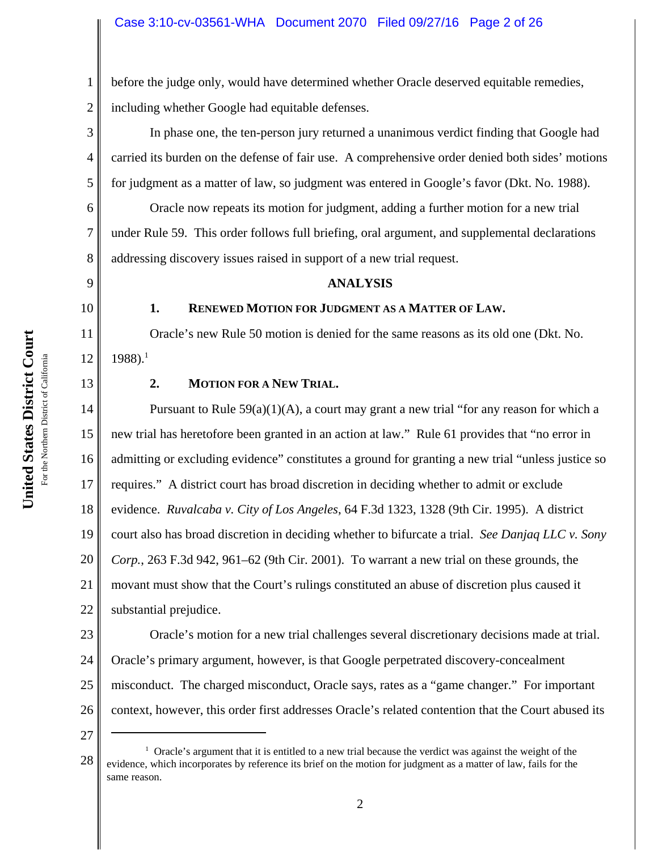2 before the judge only, would have determined whether Oracle deserved equitable remedies, including whether Google had equitable defenses.

In phase one, the ten-person jury returned a unanimous verdict finding that Google had carried its burden on the defense of fair use. A comprehensive order denied both sides' motions for judgment as a matter of law, so judgment was entered in Google's favor (Dkt. No. 1988).

Oracle now repeats its motion for judgment, adding a further motion for a new trial under Rule 59. This order follows full briefing, oral argument, and supplemental declarations addressing discovery issues raised in support of a new trial request.

### **ANALYSIS**

### 10

1

3

4

5

6

7

8

9

11

12

13

# **1. RENEWED MOTION FOR JUDGMENT AS A MATTER OF LAW.**

Oracle's new Rule 50 motion is denied for the same reasons as its old one (Dkt. No.  $1988$ ).<sup>1</sup>

# **2. MOTION FOR A NEW TRIAL.**

14 15 16 17 18 19 20 21 22 Pursuant to Rule  $59(a)(1)(A)$ , a court may grant a new trial "for any reason for which a new trial has heretofore been granted in an action at law." Rule 61 provides that "no error in admitting or excluding evidence" constitutes a ground for granting a new trial "unless justice so requires." A district court has broad discretion in deciding whether to admit or exclude evidence. *Ruvalcaba v. City of Los Angeles*, 64 F.3d 1323, 1328 (9th Cir. 1995). A district court also has broad discretion in deciding whether to bifurcate a trial. *See Danjaq LLC v. Sony Corp.*, 263 F.3d 942, 961–62 (9th Cir. 2001). To warrant a new trial on these grounds, the movant must show that the Court's rulings constituted an abuse of discretion plus caused it substantial prejudice.

23 24 25 26 Oracle's motion for a new trial challenges several discretionary decisions made at trial. Oracle's primary argument, however, is that Google perpetrated discovery-concealment misconduct. The charged misconduct, Oracle says, rates as a "game changer." For important context, however, this order first addresses Oracle's related contention that the Court abused its

<sup>28</sup> <sup>1</sup> Oracle's argument that it is entitled to a new trial because the verdict was against the weight of the evidence, which incorporates by reference its brief on the motion for judgment as a matter of law, fails for the same reason.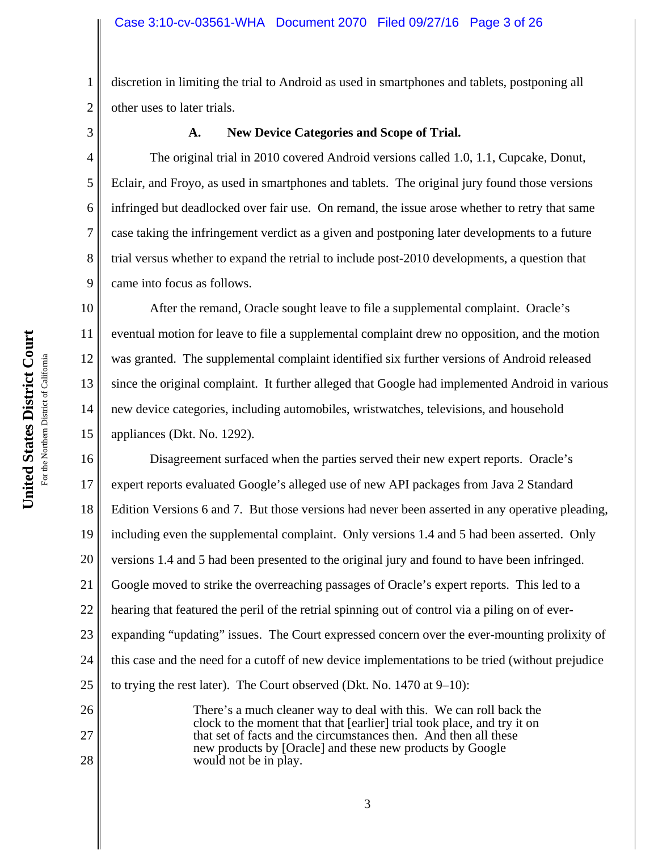2 discretion in limiting the trial to Android as used in smartphones and tablets, postponing all other uses to later trials.

3

1

4

5

6

7

8

9

26

27

28

# **A. New Device Categories and Scope of Trial.**

The original trial in 2010 covered Android versions called 1.0, 1.1, Cupcake, Donut, Eclair, and Froyo, as used in smartphones and tablets. The original jury found those versions infringed but deadlocked over fair use. On remand, the issue arose whether to retry that same case taking the infringement verdict as a given and postponing later developments to a future trial versus whether to expand the retrial to include post-2010 developments, a question that came into focus as follows.

10 11 12 13 14 15 After the remand, Oracle sought leave to file a supplemental complaint. Oracle's eventual motion for leave to file a supplemental complaint drew no opposition, and the motion was granted. The supplemental complaint identified six further versions of Android released since the original complaint. It further alleged that Google had implemented Android in various new device categories, including automobiles, wristwatches, televisions, and household appliances (Dkt. No. 1292).

16 17 18 19 20 21 22 23 24 25 Disagreement surfaced when the parties served their new expert reports. Oracle's expert reports evaluated Google's alleged use of new API packages from Java 2 Standard Edition Versions 6 and 7. But those versions had never been asserted in any operative pleading, including even the supplemental complaint. Only versions 1.4 and 5 had been asserted. Only versions 1.4 and 5 had been presented to the original jury and found to have been infringed. Google moved to strike the overreaching passages of Oracle's expert reports. This led to a hearing that featured the peril of the retrial spinning out of control via a piling on of everexpanding "updating" issues. The Court expressed concern over the ever-mounting prolixity of this case and the need for a cutoff of new device implementations to be tried (without prejudice to trying the rest later). The Court observed (Dkt. No. 1470 at 9–10):

There's a much cleaner way to deal with this. We can roll back the clock to the moment that that [earlier] trial took place, and try it on that set of facts and the circumstances then. And then all these new products by [Oracle] and these new products by Google would not be in play.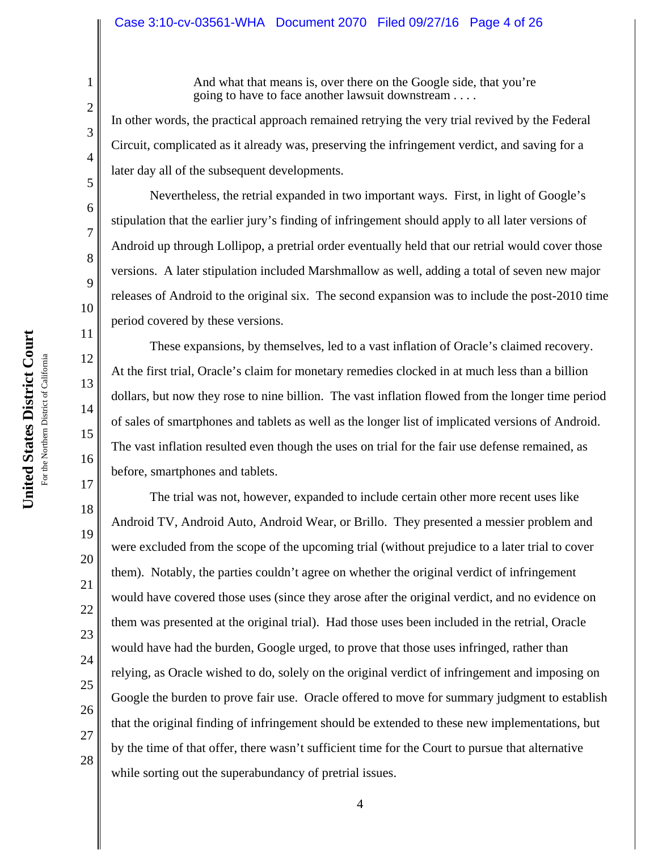#### Case 3:10-cv-03561-WHA Document 2070 Filed 09/27/16 Page 4 of 26

And what that means is, over there on the Google side, that you're going to have to face another lawsuit downstream . . . .

In other words, the practical approach remained retrying the very trial revived by the Federal Circuit, complicated as it already was, preserving the infringement verdict, and saving for a later day all of the subsequent developments.

Nevertheless, the retrial expanded in two important ways. First, in light of Google's stipulation that the earlier jury's finding of infringement should apply to all later versions of Android up through Lollipop, a pretrial order eventually held that our retrial would cover those versions. A later stipulation included Marshmallow as well, adding a total of seven new major releases of Android to the original six. The second expansion was to include the post-2010 time period covered by these versions.

These expansions, by themselves, led to a vast inflation of Oracle's claimed recovery. At the first trial, Oracle's claim for monetary remedies clocked in at much less than a billion dollars, but now they rose to nine billion. The vast inflation flowed from the longer time period of sales of smartphones and tablets as well as the longer list of implicated versions of Android. The vast inflation resulted even though the uses on trial for the fair use defense remained, as before, smartphones and tablets.

The trial was not, however, expanded to include certain other more recent uses like Android TV, Android Auto, Android Wear, or Brillo. They presented a messier problem and were excluded from the scope of the upcoming trial (without prejudice to a later trial to cover them). Notably, the parties couldn't agree on whether the original verdict of infringement would have covered those uses (since they arose after the original verdict, and no evidence on them was presented at the original trial). Had those uses been included in the retrial, Oracle would have had the burden, Google urged, to prove that those uses infringed, rather than relying, as Oracle wished to do, solely on the original verdict of infringement and imposing on Google the burden to prove fair use. Oracle offered to move for summary judgment to establish that the original finding of infringement should be extended to these new implementations, but by the time of that offer, there wasn't sufficient time for the Court to pursue that alternative while sorting out the superabundancy of pretrial issues.

1

2

3

4

5

6

7

8

9

10

11

12

13

14

15

16

17

18

19

20

21

22

23

24

25

**United States District Court**

United States District Court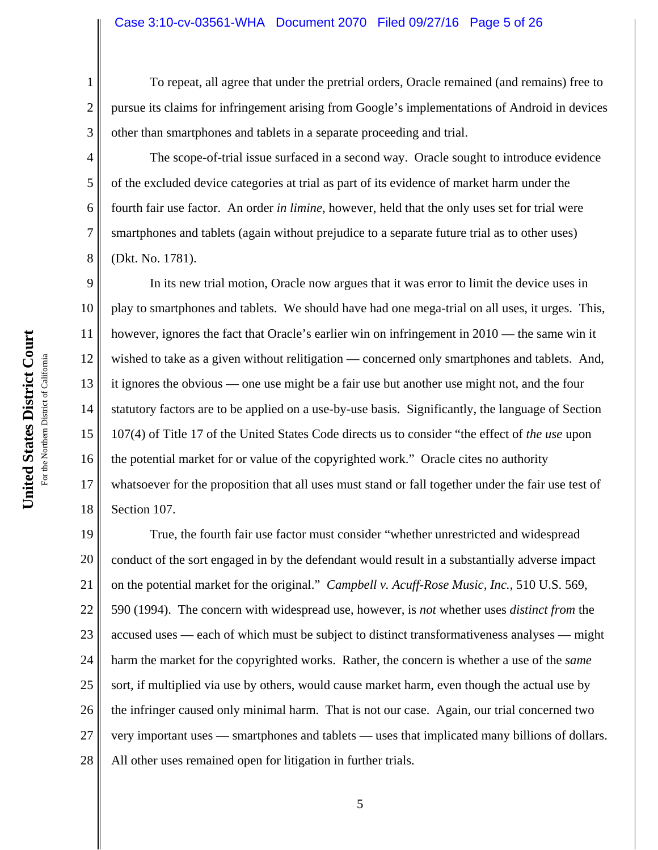#### Case 3:10-cv-03561-WHA Document 2070 Filed 09/27/16 Page 5 of 26

To repeat, all agree that under the pretrial orders, Oracle remained (and remains) free to pursue its claims for infringement arising from Google's implementations of Android in devices other than smartphones and tablets in a separate proceeding and trial.

The scope-of-trial issue surfaced in a second way. Oracle sought to introduce evidence of the excluded device categories at trial as part of its evidence of market harm under the fourth fair use factor. An order *in limine*, however, held that the only uses set for trial were smartphones and tablets (again without prejudice to a separate future trial as to other uses) (Dkt. No. 1781).

9 10 11 12 13 14 15 16 17 18 In its new trial motion, Oracle now argues that it was error to limit the device uses in play to smartphones and tablets. We should have had one mega-trial on all uses, it urges. This, however, ignores the fact that Oracle's earlier win on infringement in 2010 — the same win it wished to take as a given without relitigation — concerned only smartphones and tablets. And, it ignores the obvious — one use might be a fair use but another use might not, and the four statutory factors are to be applied on a use-by-use basis. Significantly, the language of Section 107(4) of Title 17 of the United States Code directs us to consider "the effect of *the use* upon the potential market for or value of the copyrighted work." Oracle cites no authority whatsoever for the proposition that all uses must stand or fall together under the fair use test of Section 107.

19 20 21 22 23 24 25 26 27 28 True, the fourth fair use factor must consider "whether unrestricted and widespread conduct of the sort engaged in by the defendant would result in a substantially adverse impact on the potential market for the original." *Campbell v. Acuff-Rose Music, Inc.*, 510 U.S. 569, 590 (1994). The concern with widespread use, however, is *not* whether uses *distinct from* the accused uses — each of which must be subject to distinct transformativeness analyses — might harm the market for the copyrighted works. Rather, the concern is whether a use of the *same* sort, if multiplied via use by others, would cause market harm, even though the actual use by the infringer caused only minimal harm. That is not our case. Again, our trial concerned two very important uses — smartphones and tablets — uses that implicated many billions of dollars. All other uses remained open for litigation in further trials.

1

2

3

4

5

6

7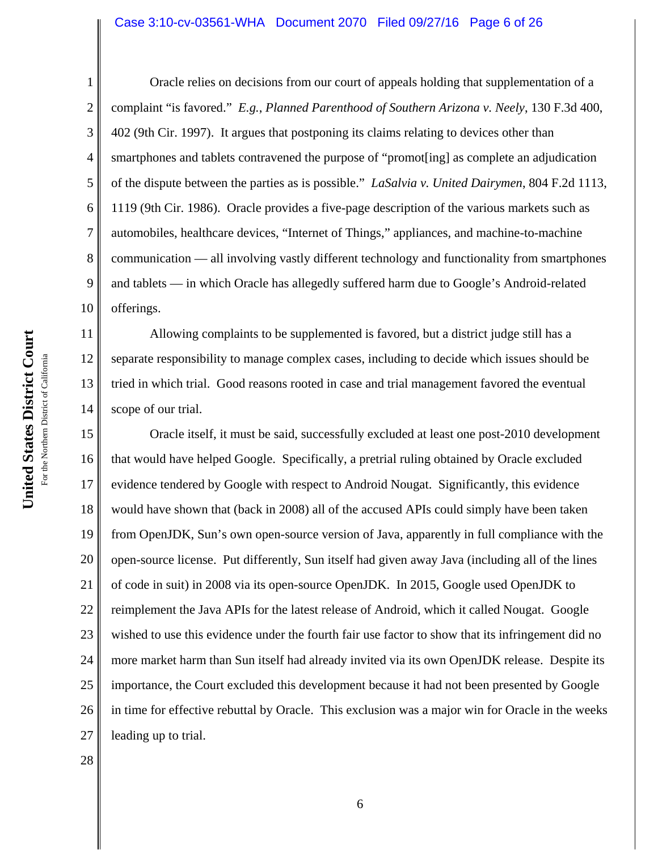#### Case 3:10-cv-03561-WHA Document 2070 Filed 09/27/16 Page 6 of 26

11

12

13

14

1 2 3 4 5 6 7 8 9 10 Oracle relies on decisions from our court of appeals holding that supplementation of a complaint "is favored." *E.g.*, *Planned Parenthood of Southern Arizona v. Neely*, 130 F.3d 400, 402 (9th Cir. 1997). It argues that postponing its claims relating to devices other than smartphones and tablets contravened the purpose of "promot[ing] as complete an adjudication of the dispute between the parties as is possible." *LaSalvia v. United Dairymen*, 804 F.2d 1113, 1119 (9th Cir. 1986). Oracle provides a five-page description of the various markets such as automobiles, healthcare devices, "Internet of Things," appliances, and machine-to-machine communication — all involving vastly different technology and functionality from smartphones and tablets — in which Oracle has allegedly suffered harm due to Google's Android-related offerings.

Allowing complaints to be supplemented is favored, but a district judge still has a separate responsibility to manage complex cases, including to decide which issues should be tried in which trial. Good reasons rooted in case and trial management favored the eventual scope of our trial.

15 16 17 18 19 20 21 22 23 24 25 26 27 Oracle itself, it must be said, successfully excluded at least one post-2010 development that would have helped Google. Specifically, a pretrial ruling obtained by Oracle excluded evidence tendered by Google with respect to Android Nougat. Significantly, this evidence would have shown that (back in 2008) all of the accused APIs could simply have been taken from OpenJDK, Sun's own open-source version of Java, apparently in full compliance with the open-source license. Put differently, Sun itself had given away Java (including all of the lines of code in suit) in 2008 via its open-source OpenJDK. In 2015, Google used OpenJDK to reimplement the Java APIs for the latest release of Android, which it called Nougat. Google wished to use this evidence under the fourth fair use factor to show that its infringement did no more market harm than Sun itself had already invited via its own OpenJDK release. Despite its importance, the Court excluded this development because it had not been presented by Google in time for effective rebuttal by Oracle. This exclusion was a major win for Oracle in the weeks leading up to trial.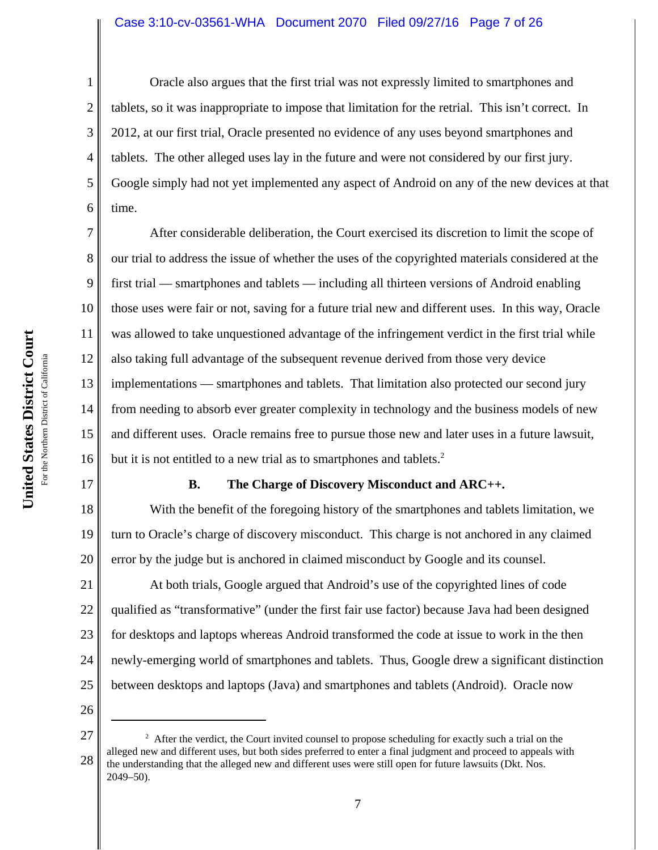#### Case 3:10-cv-03561-WHA Document 2070 Filed 09/27/16 Page 7 of 26

1 2 3 4 5 6 Oracle also argues that the first trial was not expressly limited to smartphones and tablets, so it was inappropriate to impose that limitation for the retrial. This isn't correct. In 2012, at our first trial, Oracle presented no evidence of any uses beyond smartphones and tablets. The other alleged uses lay in the future and were not considered by our first jury. Google simply had not yet implemented any aspect of Android on any of the new devices at that time.

7 8 9 10 11 12 13 14 15 16 After considerable deliberation, the Court exercised its discretion to limit the scope of our trial to address the issue of whether the uses of the copyrighted materials considered at the first trial — smartphones and tablets — including all thirteen versions of Android enabling those uses were fair or not, saving for a future trial new and different uses. In this way, Oracle was allowed to take unquestioned advantage of the infringement verdict in the first trial while also taking full advantage of the subsequent revenue derived from those very device implementations — smartphones and tablets. That limitation also protected our second jury from needing to absorb ever greater complexity in technology and the business models of new and different uses. Oracle remains free to pursue those new and later uses in a future lawsuit, but it is not entitled to a new trial as to smartphones and tablets.<sup>2</sup>

### **B. The Charge of Discovery Misconduct and ARC++.**

18 19 20 With the benefit of the foregoing history of the smartphones and tablets limitation, we turn to Oracle's charge of discovery misconduct. This charge is not anchored in any claimed error by the judge but is anchored in claimed misconduct by Google and its counsel.

21 22 23 24 25 At both trials, Google argued that Android's use of the copyrighted lines of code qualified as "transformative" (under the first fair use factor) because Java had been designed for desktops and laptops whereas Android transformed the code at issue to work in the then newly-emerging world of smartphones and tablets. Thus, Google drew a significant distinction between desktops and laptops (Java) and smartphones and tablets (Android). Oracle now

26

<sup>27</sup> 28 <sup>2</sup> After the verdict, the Court invited counsel to propose scheduling for exactly such a trial on the alleged new and different uses, but both sides preferred to enter a final judgment and proceed to appeals with the understanding that the alleged new and different uses were still open for future lawsuits (Dkt. Nos. 2049–50).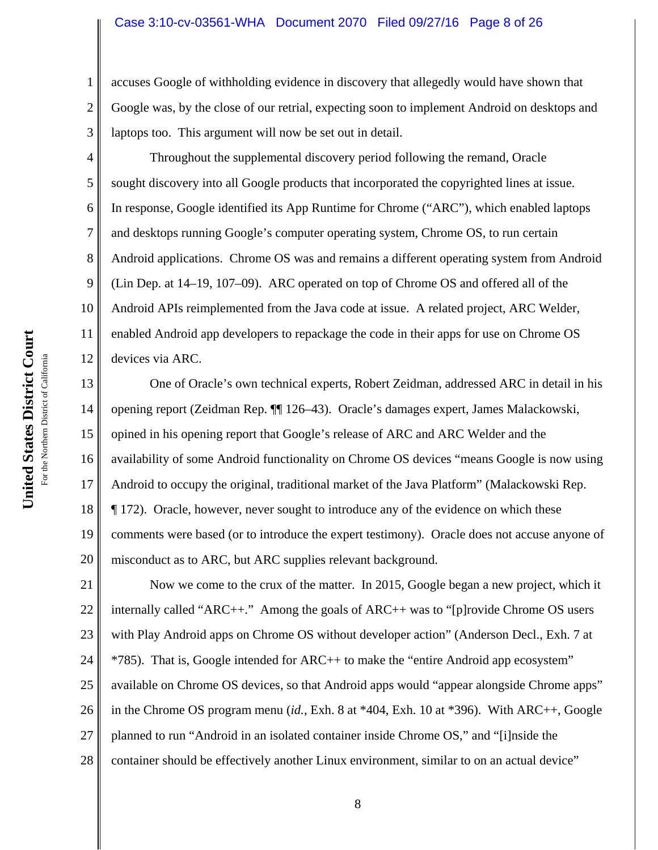#### Case 3:10-cv-03561-WHA Document 2070 Filed 09/27/16 Page 8 of 26

accuses Google of withholding evidence in discovery that allegedly would have shown that Google was, by the close of our retrial, expecting soon to implement Android on desktops and laptops too. This argument will now be set out in detail.

4 6 8 10 11 12 Throughout the supplemental discovery period following the remand, Oracle sought discovery into all Google products that incorporated the copyrighted lines at issue. In response, Google identified its App Runtime for Chrome ("ARC"), which enabled laptops and desktops running Google's computer operating system, Chrome OS, to run certain Android applications. Chrome OS was and remains a different operating system from Android (Lin Dep. at 14–19, 107–09). ARC operated on top of Chrome OS and offered all of the Android APIs reimplemented from the Java code at issue. A related project, ARC Welder, enabled Android app developers to repackage the code in their apps for use on Chrome OS devices via ARC.

13 14 15 16 17 18 19 20 One of Oracle's own technical experts, Robert Zeidman, addressed ARC in detail in his opening report (Zeidman Rep. ¶¶ 126–43). Oracle's damages expert, James Malackowski, opined in his opening report that Google's release of ARC and ARC Welder and the availability of some Android functionality on Chrome OS devices "means Google is now using Android to occupy the original, traditional market of the Java Platform" (Malackowski Rep. ¶ 172). Oracle, however, never sought to introduce any of the evidence on which these comments were based (or to introduce the expert testimony). Oracle does not accuse anyone of misconduct as to ARC, but ARC supplies relevant background.

21 22 23 24 25 26 27 28 Now we come to the crux of the matter. In 2015, Google began a new project, which it internally called "ARC++." Among the goals of ARC++ was to "[p]rovide Chrome OS users with Play Android apps on Chrome OS without developer action" (Anderson Decl., Exh. 7 at \*785). That is, Google intended for ARC++ to make the "entire Android app ecosystem" available on Chrome OS devices, so that Android apps would "appear alongside Chrome apps" in the Chrome OS program menu (*id.*, Exh. 8 at \*404, Exh. 10 at \*396). With ARC++, Google planned to run "Android in an isolated container inside Chrome OS," and "[i]nside the container should be effectively another Linux environment, similar to on an actual device"

1

2

3

5

7

9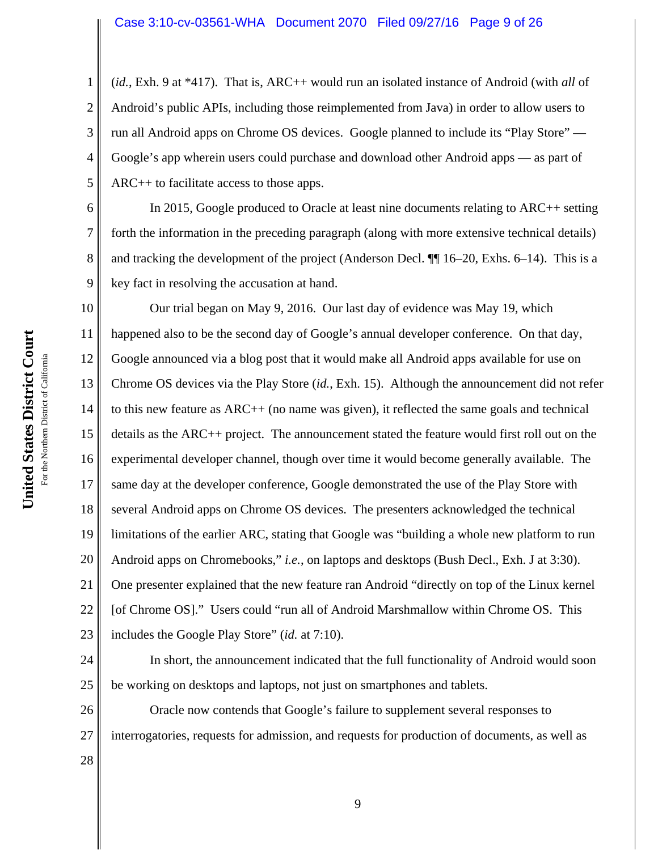4 (*id.*, Exh. 9 at \*417). That is, ARC++ would run an isolated instance of Android (with *all* of Android's public APIs, including those reimplemented from Java) in order to allow users to run all Android apps on Chrome OS devices. Google planned to include its "Play Store" — Google's app wherein users could purchase and download other Android apps — as part of ARC++ to facilitate access to those apps.

In 2015, Google produced to Oracle at least nine documents relating to ARC++ setting forth the information in the preceding paragraph (along with more extensive technical details) and tracking the development of the project (Anderson Decl. ¶¶ 16–20, Exhs. 6–14). This is a key fact in resolving the accusation at hand.

10 11 12 13 14 15 16 17 18 19 20 21 22 23 Our trial began on May 9, 2016. Our last day of evidence was May 19, which happened also to be the second day of Google's annual developer conference. On that day, Google announced via a blog post that it would make all Android apps available for use on Chrome OS devices via the Play Store (*id.*, Exh. 15). Although the announcement did not refer to this new feature as ARC++ (no name was given), it reflected the same goals and technical details as the ARC++ project. The announcement stated the feature would first roll out on the experimental developer channel, though over time it would become generally available. The same day at the developer conference, Google demonstrated the use of the Play Store with several Android apps on Chrome OS devices. The presenters acknowledged the technical limitations of the earlier ARC, stating that Google was "building a whole new platform to run Android apps on Chromebooks," *i.e.*, on laptops and desktops (Bush Decl., Exh. J at 3:30). One presenter explained that the new feature ran Android "directly on top of the Linux kernel [of Chrome OS]." Users could "run all of Android Marshmallow within Chrome OS. This includes the Google Play Store" (*id.* at 7:10).

24 25 In short, the announcement indicated that the full functionality of Android would soon be working on desktops and laptops, not just on smartphones and tablets.

26 27 Oracle now contends that Google's failure to supplement several responses to interrogatories, requests for admission, and requests for production of documents, as well as

United States District Court **United States District Court** For the Northern District of California For the Northern District of California 1

2

3

5

6

7

8

9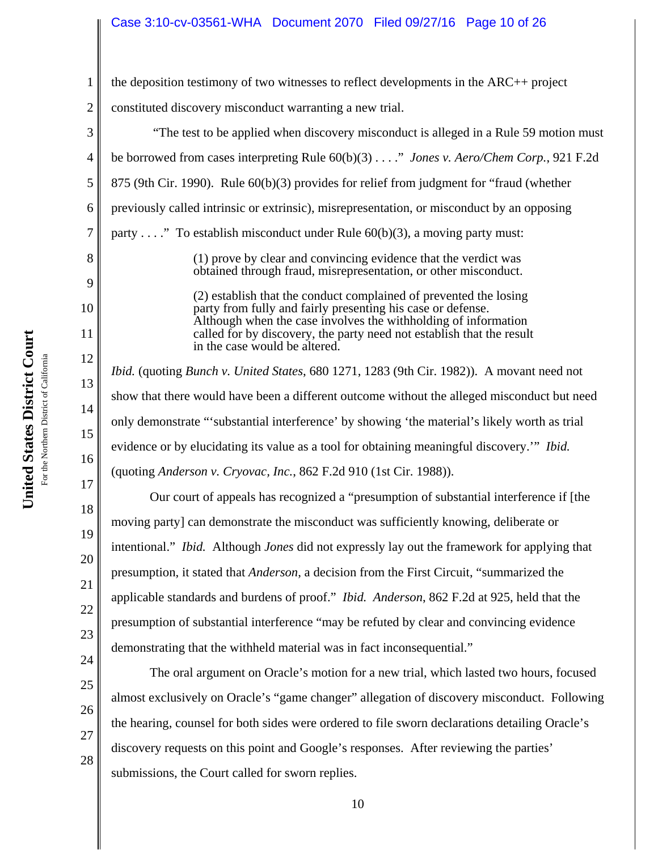#### Case 3:10-cv-03561-WHA Document 2070 Filed 09/27/16 Page 10 of 26

| ì<br>ì<br>,                        | <b>Malifar</b><br>ご<br>S<br>Distric |
|------------------------------------|-------------------------------------|
| נשטעי<br>ç<br>$\ddot{\phantom{0}}$ | For the Northern $\operatorname{I}$ |
|                                    |                                     |

1 2 3 4 5 6 7 8 9 10 11 12 13 14 15 16 17 18 19 20 21 22 23 the deposition testimony of two witnesses to reflect developments in the ARC++ project constituted discovery misconduct warranting a new trial. "The test to be applied when discovery misconduct is alleged in a Rule 59 motion must be borrowed from cases interpreting Rule 60(b)(3) . . . ." *Jones v. Aero/Chem Corp.*, 921 F.2d 875 (9th Cir. 1990). Rule 60(b)(3) provides for relief from judgment for "fraud (whether previously called intrinsic or extrinsic), misrepresentation, or misconduct by an opposing party . . . ." To establish misconduct under Rule  $60(b)(3)$ , a moving party must: (1) prove by clear and convincing evidence that the verdict was obtained through fraud, misrepresentation, or other misconduct. (2) establish that the conduct complained of prevented the losing party from fully and fairly presenting his case or defense. Although when the case involves the withholding of information called for by discovery, the party need not establish that the result in the case would be altered. *Ibid.* (quoting *Bunch v. United States*, 680 1271, 1283 (9th Cir. 1982)). A movant need not show that there would have been a different outcome without the alleged misconduct but need only demonstrate "'substantial interference' by showing 'the material's likely worth as trial evidence or by elucidating its value as a tool for obtaining meaningful discovery.'" *Ibid.* (quoting *Anderson v. Cryovac, Inc.*, 862 F.2d 910 (1st Cir. 1988)). Our court of appeals has recognized a "presumption of substantial interference if [the moving party] can demonstrate the misconduct was sufficiently knowing, deliberate or intentional." *Ibid.* Although *Jones* did not expressly lay out the framework for applying that presumption, it stated that *Anderson*, a decision from the First Circuit, "summarized the applicable standards and burdens of proof." *Ibid. Anderson*, 862 F.2d at 925, held that the presumption of substantial interference "may be refuted by clear and convincing evidence demonstrating that the withheld material was in fact inconsequential."

28

10

The oral argument on Oracle's motion for a new trial, which lasted two hours, focused

almost exclusively on Oracle's "game changer" allegation of discovery misconduct. Following

the hearing, counsel for both sides were ordered to file sworn declarations detailing Oracle's

discovery requests on this point and Google's responses. After reviewing the parties'

submissions, the Court called for sworn replies.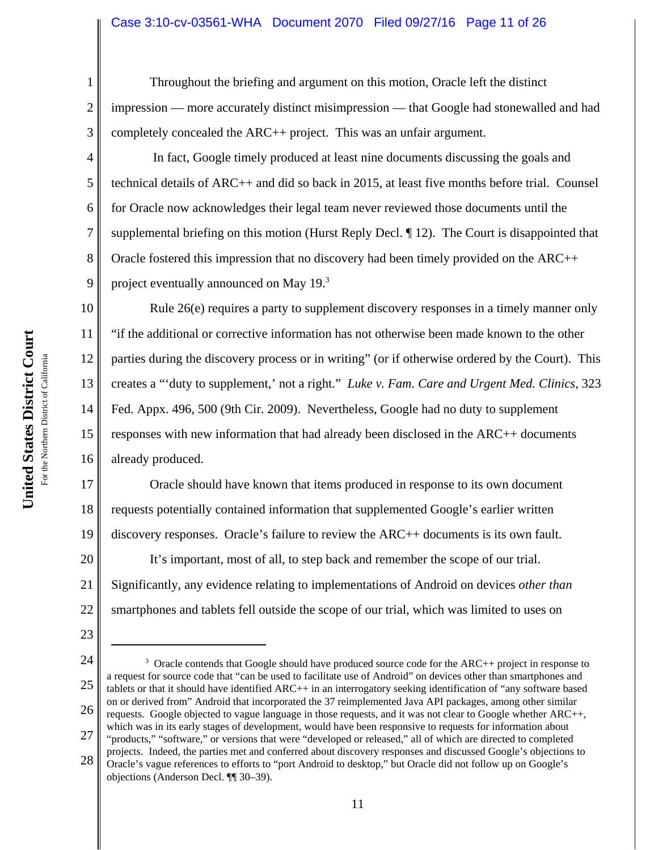# Case 3:10-cv-03561-WHA Document 2070 Filed 09/27/16 Page 11 of 26

Throughout the briefing and argument on this motion, Oracle left the distinct impression — more accurately distinct misimpression — that Google had stonewalled and had completely concealed the ARC++ project. This was an unfair argument.

 In fact, Google timely produced at least nine documents discussing the goals and technical details of ARC++ and did so back in 2015, at least five months before trial. Counsel for Oracle now acknowledges their legal team never reviewed those documents until the supplemental briefing on this motion (Hurst Reply Decl. ¶ 12). The Court is disappointed that Oracle fostered this impression that no discovery had been timely provided on the ARC++ project eventually announced on May 19.3

10 11 12 13 14 15 16 Rule 26(e) requires a party to supplement discovery responses in a timely manner only "if the additional or corrective information has not otherwise been made known to the other parties during the discovery process or in writing" (or if otherwise ordered by the Court). This creates a "'duty to supplement,' not a right." *Luke v. Fam. Care and Urgent Med. Clinics*, 323 Fed. Appx. 496, 500 (9th Cir. 2009). Nevertheless, Google had no duty to supplement responses with new information that had already been disclosed in the ARC++ documents already produced.

17 18 19 20 21 22 Oracle should have known that items produced in response to its own document requests potentially contained information that supplemented Google's earlier written discovery responses. Oracle's failure to review the ARC++ documents is its own fault. It's important, most of all, to step back and remember the scope of our trial. Significantly, any evidence relating to implementations of Android on devices *other than* smartphones and tablets fell outside the scope of our trial, which was limited to uses on

23

1

2

3

4

5

6

7

8

9

<sup>24</sup> 25 26 27  $3$  Oracle contends that Google should have produced source code for the ARC++ project in response to a request for source code that "can be used to facilitate use of Android" on devices other than smartphones and tablets or that it should have identified ARC++ in an interrogatory seeking identification of "any software based on or derived from" Android that incorporated the 37 reimplemented Java API packages, among other similar requests. Google objected to vague language in those requests, and it was not clear to Google whether ARC++, which was in its early stages of development, would have been responsive to requests for information about "products," "software," or versions that were "developed or released," all of which are directed to completed

<sup>28</sup> projects. Indeed, the parties met and conferred about discovery responses and discussed Google's objections to Oracle's vague references to efforts to "port Android to desktop," but Oracle did not follow up on Google's objections (Anderson Decl. ¶¶ 30–39).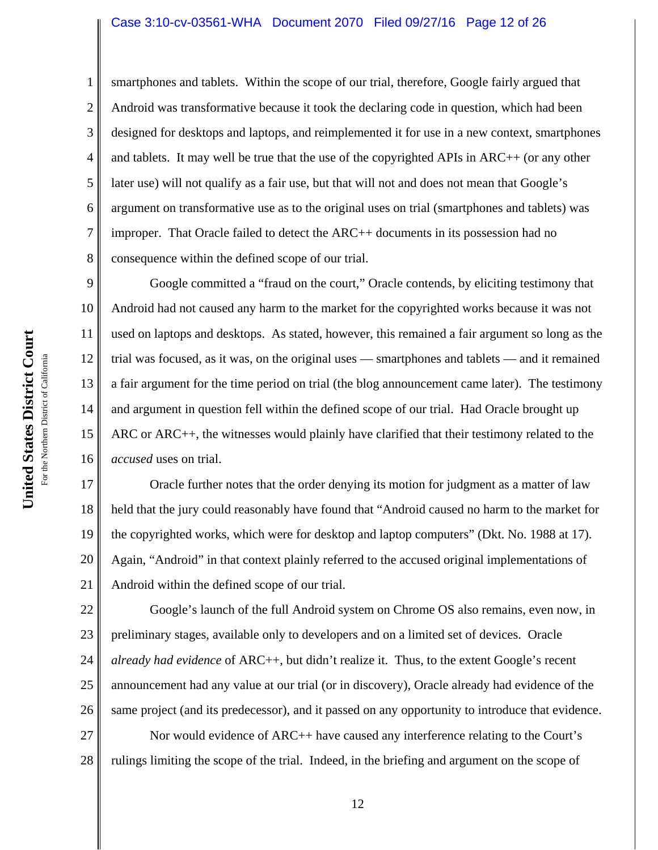#### Case 3:10-cv-03561-WHA Document 2070 Filed 09/27/16 Page 12 of 26

smartphones and tablets. Within the scope of our trial, therefore, Google fairly argued that Android was transformative because it took the declaring code in question, which had been designed for desktops and laptops, and reimplemented it for use in a new context, smartphones and tablets. It may well be true that the use of the copyrighted APIs in ARC++ (or any other later use) will not qualify as a fair use, but that will not and does not mean that Google's argument on transformative use as to the original uses on trial (smartphones and tablets) was improper. That Oracle failed to detect the ARC++ documents in its possession had no consequence within the defined scope of our trial.

9 10 11 12 13 14 15 16 Google committed a "fraud on the court," Oracle contends, by eliciting testimony that Android had not caused any harm to the market for the copyrighted works because it was not used on laptops and desktops. As stated, however, this remained a fair argument so long as the trial was focused, as it was, on the original uses — smartphones and tablets — and it remained a fair argument for the time period on trial (the blog announcement came later). The testimony and argument in question fell within the defined scope of our trial. Had Oracle brought up ARC or ARC++, the witnesses would plainly have clarified that their testimony related to the *accused* uses on trial.

17 18 19 20 21 Oracle further notes that the order denying its motion for judgment as a matter of law held that the jury could reasonably have found that "Android caused no harm to the market for the copyrighted works, which were for desktop and laptop computers" (Dkt. No. 1988 at 17). Again, "Android" in that context plainly referred to the accused original implementations of Android within the defined scope of our trial.

22 23 24 25 26 Google's launch of the full Android system on Chrome OS also remains, even now, in preliminary stages, available only to developers and on a limited set of devices. Oracle *already had evidence* of ARC++, but didn't realize it. Thus, to the extent Google's recent announcement had any value at our trial (or in discovery), Oracle already had evidence of the same project (and its predecessor), and it passed on any opportunity to introduce that evidence.

27 28 Nor would evidence of ARC++ have caused any interference relating to the Court's rulings limiting the scope of the trial. Indeed, in the briefing and argument on the scope of

1

2

3

4

5

6

7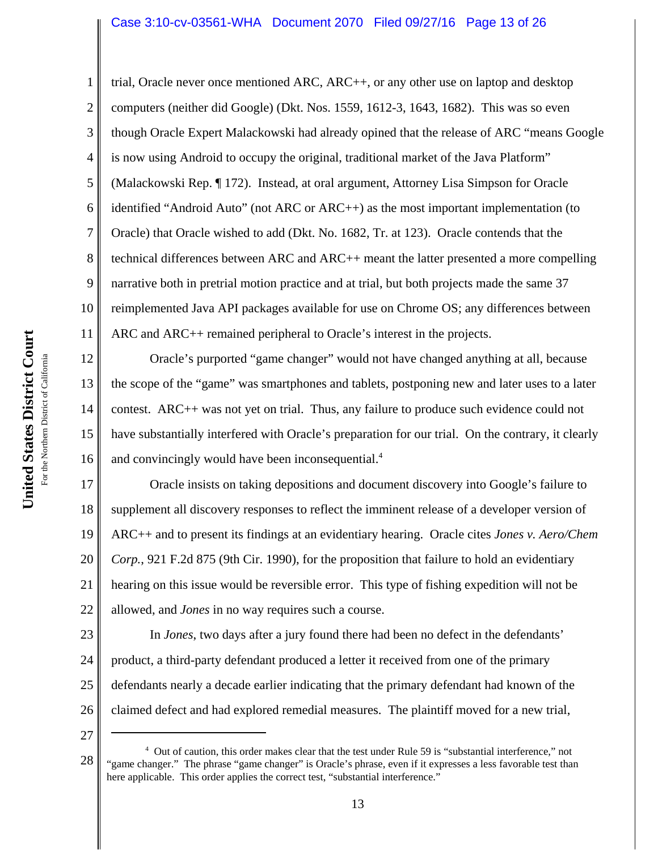# Case 3:10-cv-03561-WHA Document 2070 Filed 09/27/16 Page 13 of 26

2 3 4 5 6 7 8 9 10 11 trial, Oracle never once mentioned ARC, ARC++, or any other use on laptop and desktop computers (neither did Google) (Dkt. Nos. 1559, 1612-3, 1643, 1682). This was so even though Oracle Expert Malackowski had already opined that the release of ARC "means Google is now using Android to occupy the original, traditional market of the Java Platform" (Malackowski Rep. ¶ 172). Instead, at oral argument, Attorney Lisa Simpson for Oracle identified "Android Auto" (not ARC or ARC++) as the most important implementation (to Oracle) that Oracle wished to add (Dkt. No. 1682, Tr. at 123). Oracle contends that the technical differences between ARC and ARC++ meant the latter presented a more compelling narrative both in pretrial motion practice and at trial, but both projects made the same 37 reimplemented Java API packages available for use on Chrome OS; any differences between ARC and ARC++ remained peripheral to Oracle's interest in the projects.

12 13 14 15 16 Oracle's purported "game changer" would not have changed anything at all, because the scope of the "game" was smartphones and tablets, postponing new and later uses to a later contest. ARC++ was not yet on trial. Thus, any failure to produce such evidence could not have substantially interfered with Oracle's preparation for our trial. On the contrary, it clearly and convincingly would have been inconsequential.<sup>4</sup>

17 18 19 20 21 22 Oracle insists on taking depositions and document discovery into Google's failure to supplement all discovery responses to reflect the imminent release of a developer version of ARC++ and to present its findings at an evidentiary hearing. Oracle cites *Jones v. Aero/Chem Corp.*, 921 F.2d 875 (9th Cir. 1990), for the proposition that failure to hold an evidentiary hearing on this issue would be reversible error. This type of fishing expedition will not be allowed, and *Jones* in no way requires such a course.

23 24 25 26 In *Jones*, two days after a jury found there had been no defect in the defendants' product, a third-party defendant produced a letter it received from one of the primary defendants nearly a decade earlier indicating that the primary defendant had known of the claimed defect and had explored remedial measures. The plaintiff moved for a new trial,

27

<sup>28</sup> <sup>4</sup> Out of caution, this order makes clear that the test under Rule 59 is "substantial interference," not "game changer." The phrase "game changer" is Oracle's phrase, even if it expresses a less favorable test than here applicable. This order applies the correct test, "substantial interference."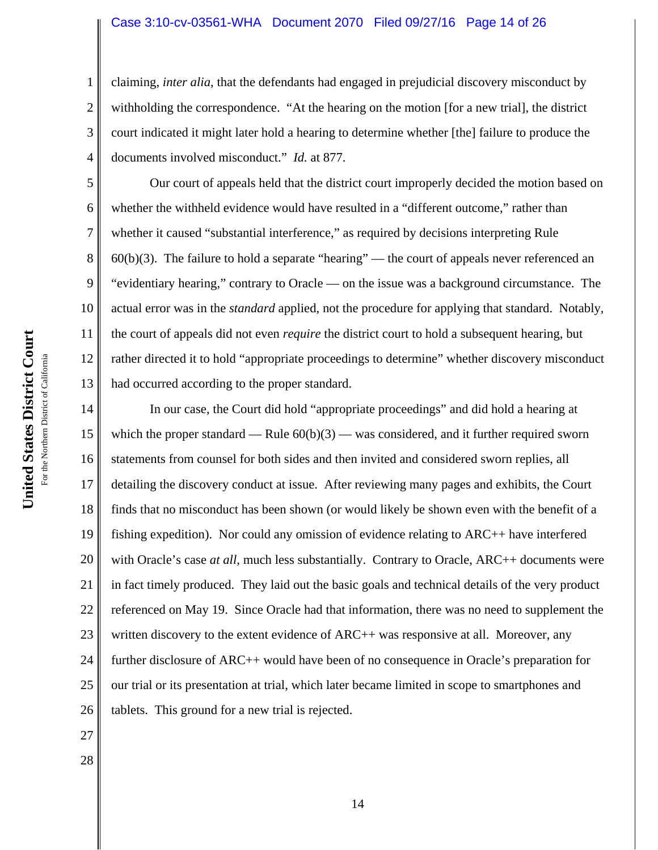#### Case 3:10-cv-03561-WHA Document 2070 Filed 09/27/16 Page 14 of 26

claiming, *inter alia*, that the defendants had engaged in prejudicial discovery misconduct by withholding the correspondence. "At the hearing on the motion [for a new trial], the district court indicated it might later hold a hearing to determine whether [the] failure to produce the documents involved misconduct." *Id.* at 877.

10 11 12 13 Our court of appeals held that the district court improperly decided the motion based on whether the withheld evidence would have resulted in a "different outcome," rather than whether it caused "substantial interference," as required by decisions interpreting Rule  $60(b)(3)$ . The failure to hold a separate "hearing" — the court of appeals never referenced an "evidentiary hearing," contrary to Oracle — on the issue was a background circumstance. The actual error was in the *standard* applied, not the procedure for applying that standard. Notably, the court of appeals did not even *require* the district court to hold a subsequent hearing, but rather directed it to hold "appropriate proceedings to determine" whether discovery misconduct had occurred according to the proper standard.

14 15 16 17 18 19 20 21 22 23 24 25 26 In our case, the Court did hold "appropriate proceedings" and did hold a hearing at which the proper standard — Rule  $60(b)(3)$  — was considered, and it further required sworn statements from counsel for both sides and then invited and considered sworn replies, all detailing the discovery conduct at issue. After reviewing many pages and exhibits, the Court finds that no misconduct has been shown (or would likely be shown even with the benefit of a fishing expedition). Nor could any omission of evidence relating to ARC++ have interfered with Oracle's case *at all*, much less substantially. Contrary to Oracle, ARC++ documents were in fact timely produced. They laid out the basic goals and technical details of the very product referenced on May 19. Since Oracle had that information, there was no need to supplement the written discovery to the extent evidence of ARC++ was responsive at all. Moreover, any further disclosure of ARC++ would have been of no consequence in Oracle's preparation for our trial or its presentation at trial, which later became limited in scope to smartphones and tablets. This ground for a new trial is rejected.

1

2

3

4

5

6

7

8

9

27

28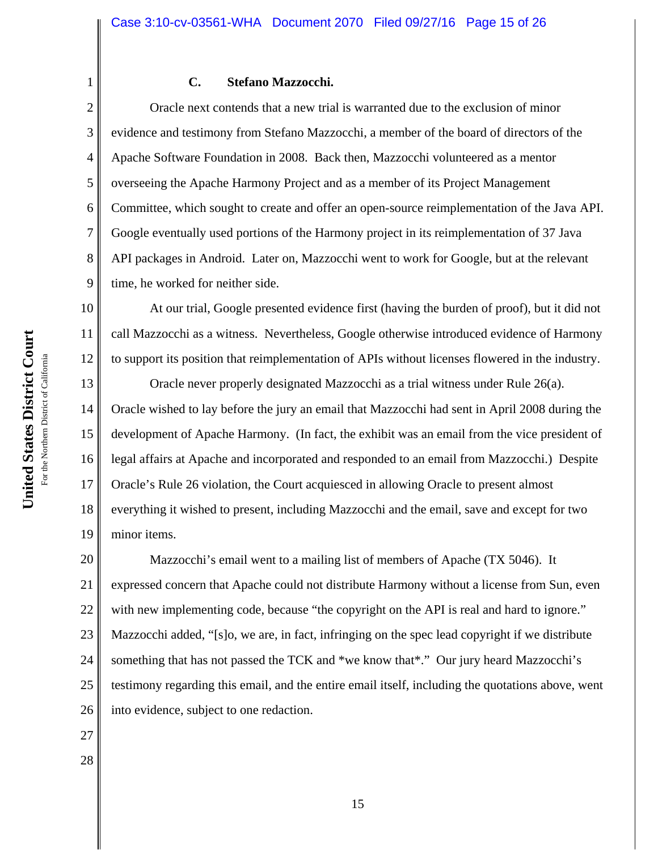#### **C. Stefano Mazzocchi.**

Oracle next contends that a new trial is warranted due to the exclusion of minor evidence and testimony from Stefano Mazzocchi, a member of the board of directors of the Apache Software Foundation in 2008. Back then, Mazzocchi volunteered as a mentor overseeing the Apache Harmony Project and as a member of its Project Management Committee, which sought to create and offer an open-source reimplementation of the Java API. Google eventually used portions of the Harmony project in its reimplementation of 37 Java API packages in Android. Later on, Mazzocchi went to work for Google, but at the relevant time, he worked for neither side.

10 11 12 At our trial, Google presented evidence first (having the burden of proof), but it did not call Mazzocchi as a witness. Nevertheless, Google otherwise introduced evidence of Harmony to support its position that reimplementation of APIs without licenses flowered in the industry.

13 14 15 16 17 18 19 Oracle never properly designated Mazzocchi as a trial witness under Rule 26(a). Oracle wished to lay before the jury an email that Mazzocchi had sent in April 2008 during the development of Apache Harmony. (In fact, the exhibit was an email from the vice president of legal affairs at Apache and incorporated and responded to an email from Mazzocchi.) Despite Oracle's Rule 26 violation, the Court acquiesced in allowing Oracle to present almost everything it wished to present, including Mazzocchi and the email, save and except for two minor items.

20 21 22 23 24 25 26 Mazzocchi's email went to a mailing list of members of Apache (TX 5046). It expressed concern that Apache could not distribute Harmony without a license from Sun, even with new implementing code, because "the copyright on the API is real and hard to ignore." Mazzocchi added, "[s]o, we are, in fact, infringing on the spec lead copyright if we distribute something that has not passed the TCK and \*we know that\*." Our jury heard Mazzocchi's testimony regarding this email, and the entire email itself, including the quotations above, went into evidence, subject to one redaction.

1

2

3

4

5

6

7

8

9

27

28

**United States District Court**

United States District Court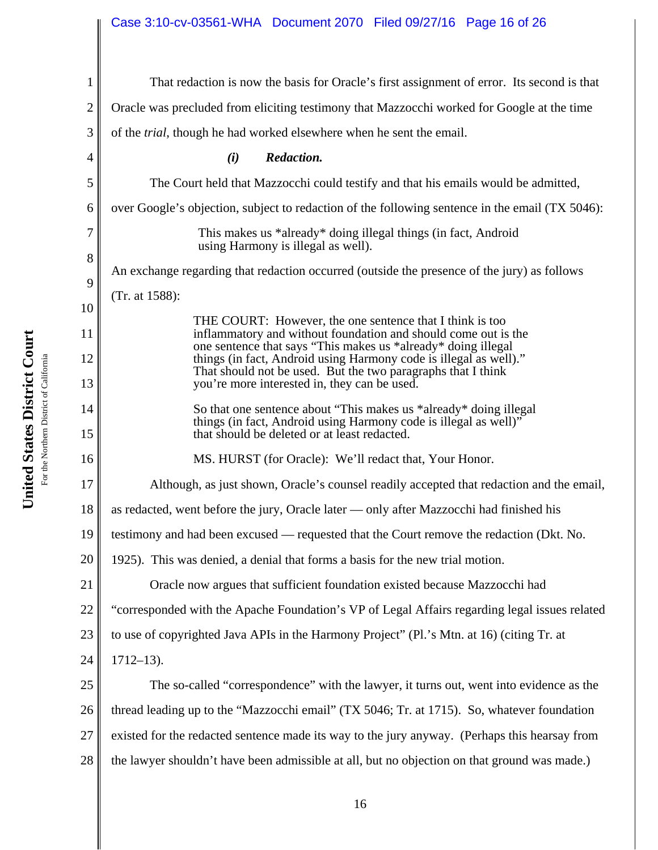# Case 3:10-cv-03561-WHA Document 2070 Filed 09/27/16 Page 16 of 26

| $\mathbf{1}$   | That redaction is now the basis for Oracle's first assignment of error. Its second is that                                         |  |  |  |
|----------------|------------------------------------------------------------------------------------------------------------------------------------|--|--|--|
| $\overline{2}$ | Oracle was precluded from eliciting testimony that Mazzocchi worked for Google at the time                                         |  |  |  |
| 3              | of the <i>trial</i> , though he had worked elsewhere when he sent the email.                                                       |  |  |  |
| 4              | (i)<br>Redaction.                                                                                                                  |  |  |  |
| 5              | The Court held that Mazzocchi could testify and that his emails would be admitted,                                                 |  |  |  |
| 6              | over Google's objection, subject to redaction of the following sentence in the email (TX 5046):                                    |  |  |  |
| 7              | This makes us *already* doing illegal things (in fact, Android<br>using Harmony is illegal as well).                               |  |  |  |
| 8              | An exchange regarding that redaction occurred (outside the presence of the jury) as follows                                        |  |  |  |
| 9              | (Tr. at 1588):                                                                                                                     |  |  |  |
| 10<br>11       | THE COURT: However, the one sentence that I think is too<br>inflammatory and without foundation and should come out is the         |  |  |  |
| 12             | one sentence that says "This makes us *already* doing illegal<br>things (in fact, Android using Harmony code is illegal as well)." |  |  |  |
| 13             | That should not be used. But the two paragraphs that I think<br>you're more interested in, they can be used.                       |  |  |  |
| 14             | So that one sentence about "This makes us *already* doing illegal                                                                  |  |  |  |
| 15             | things (in fact, Android using Harmony code is illegal as well)"<br>that should be deleted or at least redacted.                   |  |  |  |
| 16             | MS. HURST (for Oracle): We'll redact that, Your Honor.                                                                             |  |  |  |
| 17             | Although, as just shown, Oracle's counsel readily accepted that redaction and the email,                                           |  |  |  |
| 18             | as redacted, went before the jury, Oracle later — only after Mazzocchi had finished his                                            |  |  |  |
| 19             | testimony and had been excused — requested that the Court remove the redaction (Dkt. No.                                           |  |  |  |
| 20             | 1925). This was denied, a denial that forms a basis for the new trial motion.                                                      |  |  |  |
| 21             | Oracle now argues that sufficient foundation existed because Mazzocchi had                                                         |  |  |  |
| 22             | "corresponded with the Apache Foundation's VP of Legal Affairs regarding legal issues related                                      |  |  |  |
| 23             | to use of copyrighted Java APIs in the Harmony Project" (Pl.'s Mtn. at 16) (citing Tr. at                                          |  |  |  |
| 24             | $1712 - 13$ .                                                                                                                      |  |  |  |
| 25             | The so-called "correspondence" with the lawyer, it turns out, went into evidence as the                                            |  |  |  |
| 26             | thread leading up to the "Mazzocchi email" (TX 5046; Tr. at 1715). So, whatever foundation                                         |  |  |  |
| 27             | existed for the redacted sentence made its way to the jury anyway. (Perhaps this hearsay from                                      |  |  |  |
| 28             | the lawyer shouldn't have been admissible at all, but no objection on that ground was made.)                                       |  |  |  |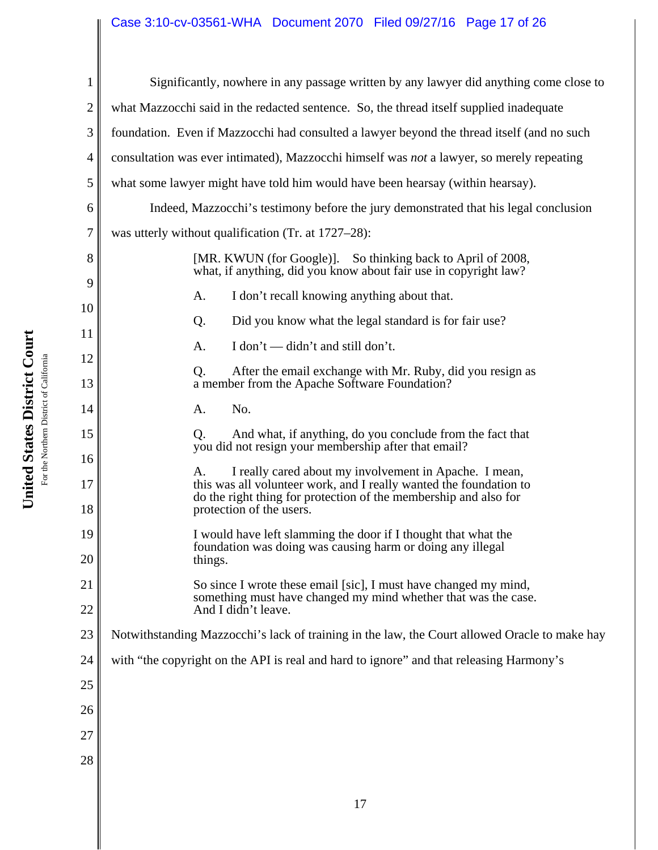# Case 3:10-cv-03561-WHA Document 2070 Filed 09/27/16 Page 17 of 26

| $\mathbf{1}$   | Significantly, nowhere in any passage written by any lawyer did anything come close to                                                                                                                 |  |  |  |
|----------------|--------------------------------------------------------------------------------------------------------------------------------------------------------------------------------------------------------|--|--|--|
| $\mathfrak{2}$ | what Mazzocchi said in the redacted sentence. So, the thread itself supplied inadequate                                                                                                                |  |  |  |
| $\mathfrak{Z}$ | foundation. Even if Mazzocchi had consulted a lawyer beyond the thread itself (and no such                                                                                                             |  |  |  |
| $\overline{4}$ | consultation was ever intimated), Mazzocchi himself was <i>not</i> a lawyer, so merely repeating                                                                                                       |  |  |  |
| $\mathfrak{S}$ | what some lawyer might have told him would have been hearsay (within hearsay).                                                                                                                         |  |  |  |
| 6              | Indeed, Mazzocchi's testimony before the jury demonstrated that his legal conclusion                                                                                                                   |  |  |  |
| $\tau$         | was utterly without qualification (Tr. at 1727–28):                                                                                                                                                    |  |  |  |
| 8              | [MR. KWUN (for Google)]. So thinking back to April of 2008,<br>what, if anything, did you know about fair use in copyright law?                                                                        |  |  |  |
| 9              | I don't recall knowing anything about that.<br>A.                                                                                                                                                      |  |  |  |
| 10<br>11       | Did you know what the legal standard is for fair use?<br>Q.                                                                                                                                            |  |  |  |
| 12             | I don't — didn't and still don't.<br>A.                                                                                                                                                                |  |  |  |
| 13             | Q.<br>After the email exchange with Mr. Ruby, did you resign as<br>a member from the Apache Software Foundation?                                                                                       |  |  |  |
| 14             | A.<br>No.                                                                                                                                                                                              |  |  |  |
| 15<br>16       | And what, if anything, do you conclude from the fact that<br>Q.<br>you did not resign your membership after that email?                                                                                |  |  |  |
| 17             | I really cared about my involvement in Apache. I mean,<br>A.<br>this was all volunteer work, and I really wanted the foundation to<br>do the right thing for protection of the membership and also for |  |  |  |
| 18             | protection of the users.                                                                                                                                                                               |  |  |  |
| 19<br>20       | I would have left slamming the door if I thought that what the<br>foundation was doing was causing harm or doing any illegal<br>things.                                                                |  |  |  |
| 21             | So since I wrote these email [sic], I must have changed my mind,                                                                                                                                       |  |  |  |
| 22             | something must have changed my mind whether that was the case.<br>And I didn't leave.                                                                                                                  |  |  |  |
| 23             | Notwithstanding Mazzocchi's lack of training in the law, the Court allowed Oracle to make hay                                                                                                          |  |  |  |
| 24             | with "the copyright on the API is real and hard to ignore" and that releasing Harmony's                                                                                                                |  |  |  |
| 25             |                                                                                                                                                                                                        |  |  |  |
| 26             |                                                                                                                                                                                                        |  |  |  |
| 27             |                                                                                                                                                                                                        |  |  |  |
| 28             |                                                                                                                                                                                                        |  |  |  |
|                |                                                                                                                                                                                                        |  |  |  |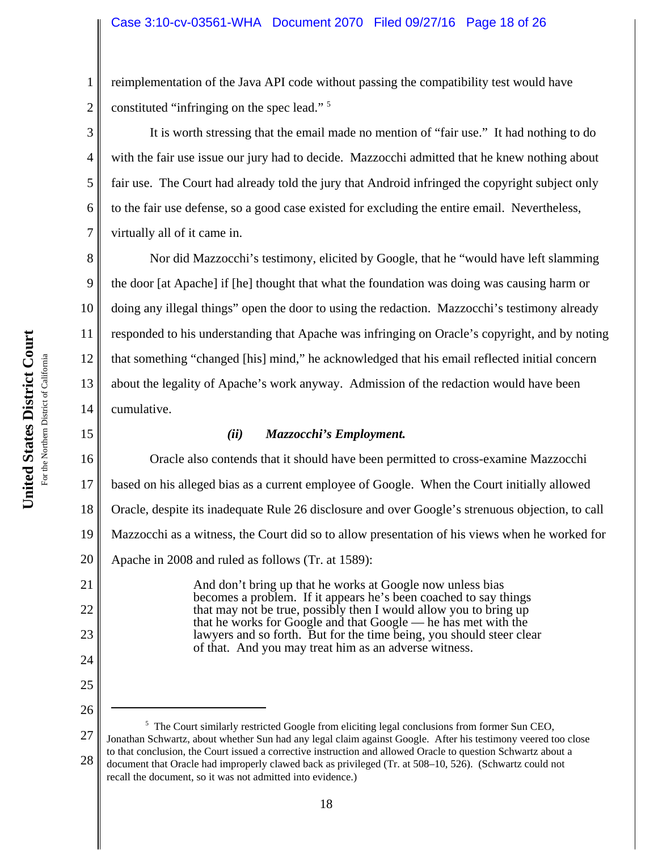2 reimplementation of the Java API code without passing the compatibility test would have constituted "infringing on the spec lead."<sup>5</sup>

It is worth stressing that the email made no mention of "fair use." It had nothing to do with the fair use issue our jury had to decide. Mazzocchi admitted that he knew nothing about fair use. The Court had already told the jury that Android infringed the copyright subject only to the fair use defense, so a good case existed for excluding the entire email. Nevertheless, virtually all of it came in.

8 9 10 11 12 13 14 Nor did Mazzocchi's testimony, elicited by Google, that he "would have left slamming the door [at Apache] if [he] thought that what the foundation was doing was causing harm or doing any illegal things" open the door to using the redaction. Mazzocchi's testimony already responded to his understanding that Apache was infringing on Oracle's copyright, and by noting that something "changed [his] mind," he acknowledged that his email reflected initial concern about the legality of Apache's work anyway. Admission of the redaction would have been cumulative.

# 15

21

22

23

24

25

26

1

3

4

5

6

7

# *(ii) Mazzocchi's Employment.*

16 17 18 19 20 Oracle also contends that it should have been permitted to cross-examine Mazzocchi based on his alleged bias as a current employee of Google. When the Court initially allowed Oracle, despite its inadequate Rule 26 disclosure and over Google's strenuous objection, to call Mazzocchi as a witness, the Court did so to allow presentation of his views when he worked for Apache in 2008 and ruled as follows (Tr. at 1589):

> And don't bring up that he works at Google now unless bias becomes a problem. If it appears he's been coached to say things that may not be true, possibly then I would allow you to bring up that he works for Google and that Google — he has met with the lawyers and so forth. But for the time being, you should steer clear of that. And you may treat him as an adverse witness.

<sup>27</sup> 28 <sup>5</sup> The Court similarly restricted Google from eliciting legal conclusions from former Sun CEO, Jonathan Schwartz, about whether Sun had any legal claim against Google. After his testimony veered too close to that conclusion, the Court issued a corrective instruction and allowed Oracle to question Schwartz about a document that Oracle had improperly clawed back as privileged (Tr. at 508–10, 526). (Schwartz could not recall the document, so it was not admitted into evidence.)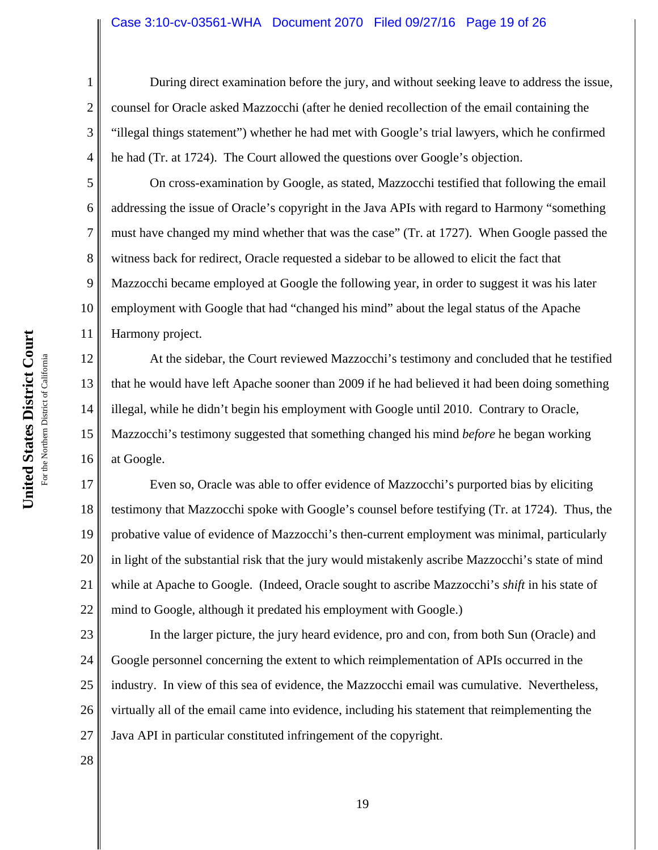#### Case 3:10-cv-03561-WHA Document 2070 Filed 09/27/16 Page 19 of 26

During direct examination before the jury, and without seeking leave to address the issue, counsel for Oracle asked Mazzocchi (after he denied recollection of the email containing the "illegal things statement") whether he had met with Google's trial lawyers, which he confirmed he had (Tr. at 1724). The Court allowed the questions over Google's objection.

On cross-examination by Google, as stated, Mazzocchi testified that following the email addressing the issue of Oracle's copyright in the Java APIs with regard to Harmony "something must have changed my mind whether that was the case" (Tr. at 1727). When Google passed the witness back for redirect, Oracle requested a sidebar to be allowed to elicit the fact that Mazzocchi became employed at Google the following year, in order to suggest it was his later employment with Google that had "changed his mind" about the legal status of the Apache Harmony project.

12 13 14 15 16 At the sidebar, the Court reviewed Mazzocchi's testimony and concluded that he testified that he would have left Apache sooner than 2009 if he had believed it had been doing something illegal, while he didn't begin his employment with Google until 2010. Contrary to Oracle, Mazzocchi's testimony suggested that something changed his mind *before* he began working at Google.

17 18 19 20 21 22 Even so, Oracle was able to offer evidence of Mazzocchi's purported bias by eliciting testimony that Mazzocchi spoke with Google's counsel before testifying (Tr. at 1724). Thus, the probative value of evidence of Mazzocchi's then-current employment was minimal, particularly in light of the substantial risk that the jury would mistakenly ascribe Mazzocchi's state of mind while at Apache to Google. (Indeed, Oracle sought to ascribe Mazzocchi's *shift* in his state of mind to Google, although it predated his employment with Google.)

23 24 25 26 27 In the larger picture, the jury heard evidence, pro and con, from both Sun (Oracle) and Google personnel concerning the extent to which reimplementation of APIs occurred in the industry. In view of this sea of evidence, the Mazzocchi email was cumulative. Nevertheless, virtually all of the email came into evidence, including his statement that reimplementing the Java API in particular constituted infringement of the copyright.

1

2

3

4

5

6

7

8

9

10

11

28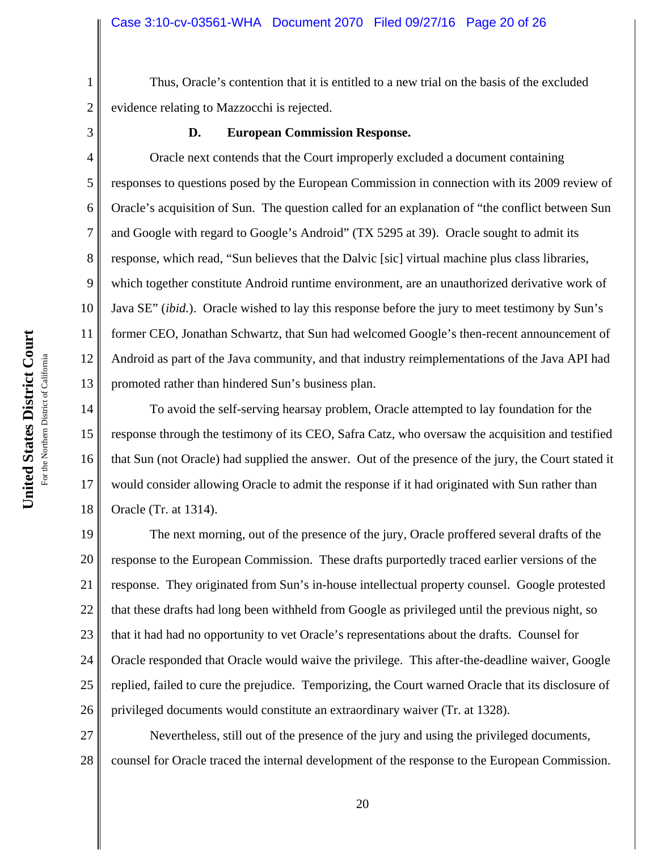Thus, Oracle's contention that it is entitled to a new trial on the basis of the excluded evidence relating to Mazzocchi is rejected.

1

2

3

5

6

7

8

9

### **D. European Commission Response.**

4 10 11 12 13 Oracle next contends that the Court improperly excluded a document containing responses to questions posed by the European Commission in connection with its 2009 review of Oracle's acquisition of Sun. The question called for an explanation of "the conflict between Sun and Google with regard to Google's Android" (TX 5295 at 39). Oracle sought to admit its response, which read, "Sun believes that the Dalvic [sic] virtual machine plus class libraries, which together constitute Android runtime environment, are an unauthorized derivative work of Java SE" (*ibid.*). Oracle wished to lay this response before the jury to meet testimony by Sun's former CEO, Jonathan Schwartz, that Sun had welcomed Google's then-recent announcement of Android as part of the Java community, and that industry reimplementations of the Java API had promoted rather than hindered Sun's business plan.

14 15 16 17 18 To avoid the self-serving hearsay problem, Oracle attempted to lay foundation for the response through the testimony of its CEO, Safra Catz, who oversaw the acquisition and testified that Sun (not Oracle) had supplied the answer. Out of the presence of the jury, the Court stated it would consider allowing Oracle to admit the response if it had originated with Sun rather than Oracle (Tr. at 1314).

19 20 21 22 23 24 25 26 The next morning, out of the presence of the jury, Oracle proffered several drafts of the response to the European Commission. These drafts purportedly traced earlier versions of the response. They originated from Sun's in-house intellectual property counsel. Google protested that these drafts had long been withheld from Google as privileged until the previous night, so that it had had no opportunity to vet Oracle's representations about the drafts. Counsel for Oracle responded that Oracle would waive the privilege. This after-the-deadline waiver, Google replied, failed to cure the prejudice. Temporizing, the Court warned Oracle that its disclosure of privileged documents would constitute an extraordinary waiver (Tr. at 1328).

27 28 Nevertheless, still out of the presence of the jury and using the privileged documents, counsel for Oracle traced the internal development of the response to the European Commission.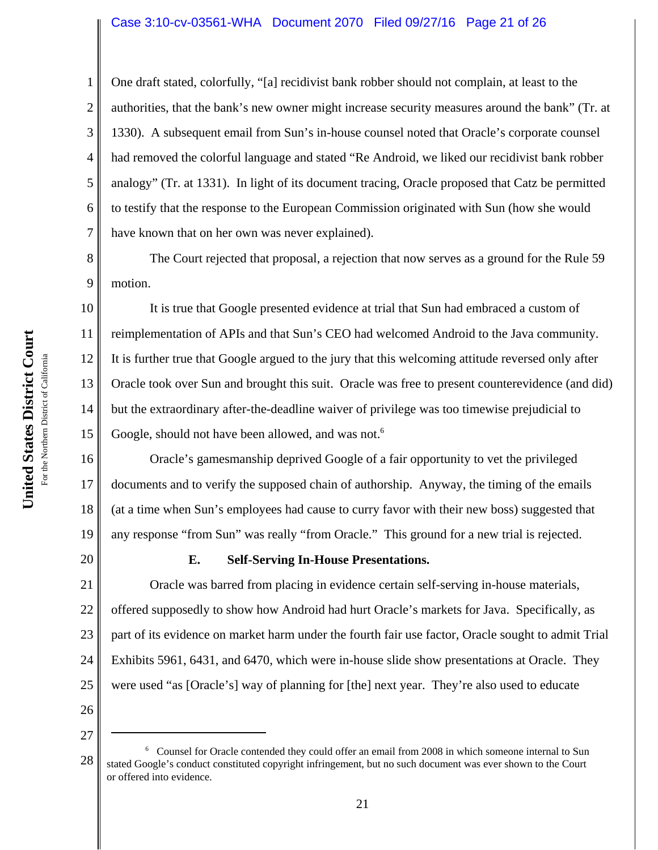#### Case 3:10-cv-03561-WHA Document 2070 Filed 09/27/16 Page 21 of 26

One draft stated, colorfully, "[a] recidivist bank robber should not complain, at least to the authorities, that the bank's new owner might increase security measures around the bank" (Tr. at 1330). A subsequent email from Sun's in-house counsel noted that Oracle's corporate counsel had removed the colorful language and stated "Re Android, we liked our recidivist bank robber analogy" (Tr. at 1331). In light of its document tracing, Oracle proposed that Catz be permitted to testify that the response to the European Commission originated with Sun (how she would have known that on her own was never explained).

The Court rejected that proposal, a rejection that now serves as a ground for the Rule 59 motion.

10 11 12 13 14 15 It is true that Google presented evidence at trial that Sun had embraced a custom of reimplementation of APIs and that Sun's CEO had welcomed Android to the Java community. It is further true that Google argued to the jury that this welcoming attitude reversed only after Oracle took over Sun and brought this suit. Oracle was free to present counterevidence (and did) but the extraordinary after-the-deadline waiver of privilege was too timewise prejudicial to Google, should not have been allowed, and was not.<sup>6</sup>

16 17 18 19 Oracle's gamesmanship deprived Google of a fair opportunity to vet the privileged documents and to verify the supposed chain of authorship. Anyway, the timing of the emails (at a time when Sun's employees had cause to curry favor with their new boss) suggested that any response "from Sun" was really "from Oracle." This ground for a new trial is rejected.

20

1

2

3

4

5

6

7

8

9

#### **E. Self-Serving In-House Presentations.**

21 22 23 24 25 Oracle was barred from placing in evidence certain self-serving in-house materials, offered supposedly to show how Android had hurt Oracle's markets for Java. Specifically, as part of its evidence on market harm under the fourth fair use factor, Oracle sought to admit Trial Exhibits 5961, 6431, and 6470, which were in-house slide show presentations at Oracle. They were used "as [Oracle's] way of planning for [the] next year. They're also used to educate

<sup>28</sup> <sup>6</sup> Counsel for Oracle contended they could offer an email from 2008 in which someone internal to Sun stated Google's conduct constituted copyright infringement, but no such document was ever shown to the Court or offered into evidence.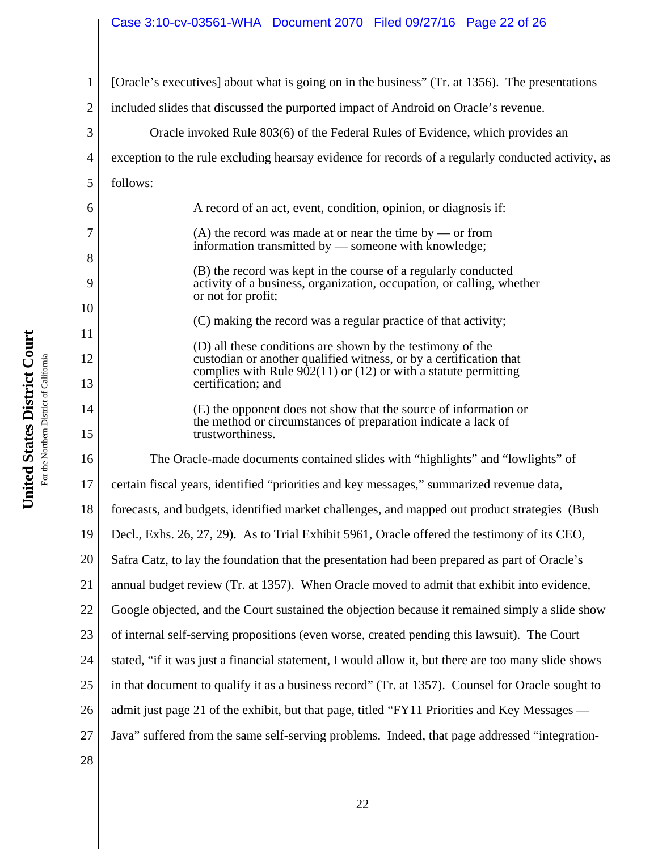# Case 3:10-cv-03561-WHA Document 2070 Filed 09/27/16 Page 22 of 26

1 2 3 4 5 6 7 8 9 10 11 12 13 14 15 16 17 18 19 20 21 22 23 24 25 26 27 28 [Oracle's executives] about what is going on in the business" (Tr. at 1356). The presentations included slides that discussed the purported impact of Android on Oracle's revenue. Oracle invoked Rule 803(6) of the Federal Rules of Evidence, which provides an exception to the rule excluding hearsay evidence for records of a regularly conducted activity, as follows: A record of an act, event, condition, opinion, or diagnosis if:  $(A)$  the record was made at or near the time by — or from information transmitted by — someone with knowledge; (B) the record was kept in the course of a regularly conducted activity of a business, organization, occupation, or calling, whether or not for profit; (C) making the record was a regular practice of that activity; (D) all these conditions are shown by the testimony of the custodian or another qualified witness, or by a certification that complies with Rule  $902(11)$  or (12) or with a statute permitting certification; and (E) the opponent does not show that the source of information or the method or circumstances of preparation indicate a lack of trustworthiness. The Oracle-made documents contained slides with "highlights" and "lowlights" of certain fiscal years, identified "priorities and key messages," summarized revenue data, forecasts, and budgets, identified market challenges, and mapped out product strategies (Bush Decl., Exhs. 26, 27, 29). As to Trial Exhibit 5961, Oracle offered the testimony of its CEO, Safra Catz, to lay the foundation that the presentation had been prepared as part of Oracle's annual budget review (Tr. at 1357). When Oracle moved to admit that exhibit into evidence, Google objected, and the Court sustained the objection because it remained simply a slide show of internal self-serving propositions (even worse, created pending this lawsuit). The Court stated, "if it was just a financial statement, I would allow it, but there are too many slide shows in that document to qualify it as a business record" (Tr. at 1357). Counsel for Oracle sought to admit just page 21 of the exhibit, but that page, titled "FY11 Priorities and Key Messages — Java" suffered from the same self-serving problems. Indeed, that page addressed "integration-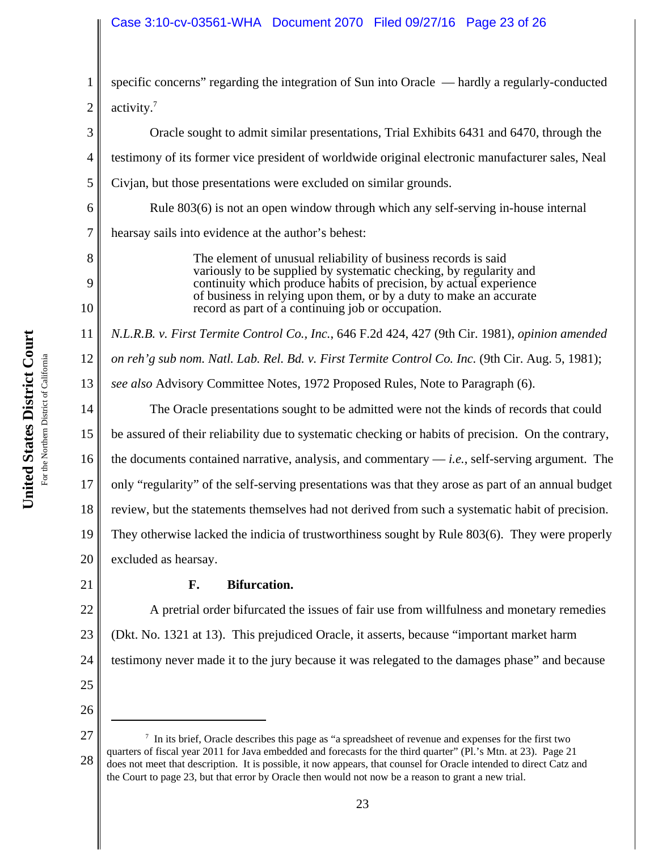# Case 3:10-cv-03561-WHA Document 2070 Filed 09/27/16 Page 23 of 26

2 specific concerns" regarding the integration of Sun into Oracle — hardly a regularly-conducted activity.7

Oracle sought to admit similar presentations, Trial Exhibits 6431 and 6470, through the testimony of its former vice president of worldwide original electronic manufacturer sales, Neal Civjan, but those presentations were excluded on similar grounds. Rule 803(6) is not an open window through which any self-serving in-house internal hearsay sails into evidence at the author's behest: The element of unusual reliability of business records is said variously to be supplied by systematic checking, by regularity and continuity which produce habits of precision, by actual experience of business in relying upon them, or by a duty to make an accurate

*N.L.R.B. v. First Termite Control Co., Inc.*, 646 F.2d 424, 427 (9th Cir. 1981), *opinion amended*

12 *on reh'g sub nom. Natl. Lab. Rel. Bd. v. First Termite Control Co. Inc.* (9th Cir. Aug. 5, 1981);

13 *see also* Advisory Committee Notes, 1972 Proposed Rules, Note to Paragraph (6).

record as part of a continuing job or occupation.

The Oracle presentations sought to be admitted were not the kinds of records that could

15 be assured of their reliability due to systematic checking or habits of precision. On the contrary,

16 the documents contained narrative, analysis, and commentary — *i.e.*, self-serving argument. The

17 only "regularity" of the self-serving presentations was that they arose as part of an annual budget

18 review, but the statements themselves had not derived from such a systematic habit of precision.

19 They otherwise lacked the indicia of trustworthiness sought by Rule 803(6). They were properly

20 excluded as hearsay.

# **F. Bifurcation.**

22 23 24 A pretrial order bifurcated the issues of fair use from willfulness and monetary remedies (Dkt. No. 1321 at 13). This prejudiced Oracle, it asserts, because "important market harm testimony never made it to the jury because it was relegated to the damages phase" and because

25

21

26 27

1

3

4

5

6

7

8

9

10

11

<sup>28</sup> <sup>7</sup> In its brief, Oracle describes this page as "a spreadsheet of revenue and expenses for the first two quarters of fiscal year 2011 for Java embedded and forecasts for the third quarter" (Pl.'s Mtn. at 23). Page 21 does not meet that description. It is possible, it now appears, that counsel for Oracle intended to direct Catz and the Court to page 23, but that error by Oracle then would not now be a reason to grant a new trial.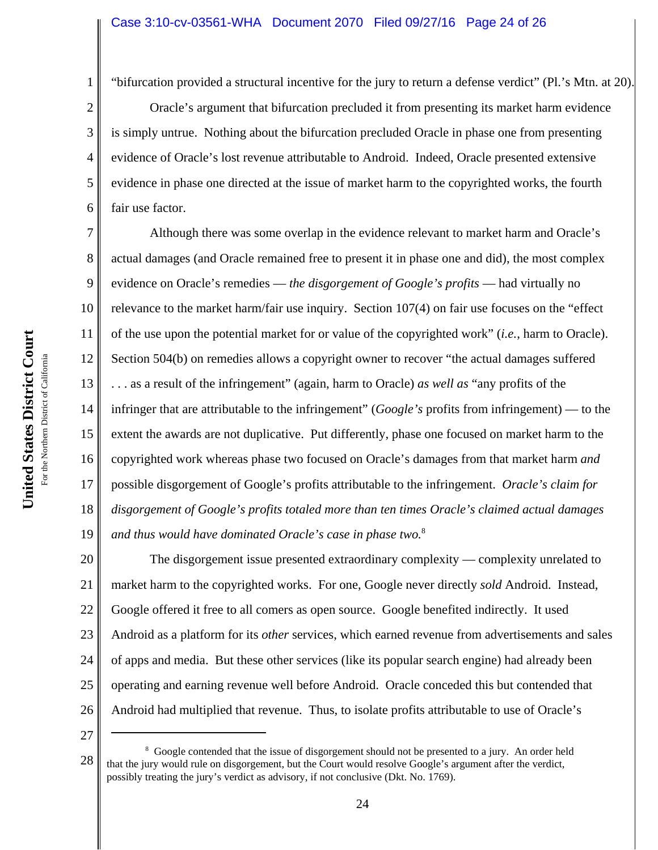1

2

3

4

5

6

"bifurcation provided a structural incentive for the jury to return a defense verdict" (Pl.'s Mtn. at 20).

Oracle's argument that bifurcation precluded it from presenting its market harm evidence is simply untrue. Nothing about the bifurcation precluded Oracle in phase one from presenting evidence of Oracle's lost revenue attributable to Android. Indeed, Oracle presented extensive evidence in phase one directed at the issue of market harm to the copyrighted works, the fourth fair use factor.

7 8 9 10 11 12 13 14 15 16 17 18 19 Although there was some overlap in the evidence relevant to market harm and Oracle's actual damages (and Oracle remained free to present it in phase one and did), the most complex evidence on Oracle's remedies — *the disgorgement of Google's profits* — had virtually no relevance to the market harm/fair use inquiry. Section 107(4) on fair use focuses on the "effect of the use upon the potential market for or value of the copyrighted work" (*i.e.*, harm to Oracle). Section 504(b) on remedies allows a copyright owner to recover "the actual damages suffered . . . as a result of the infringement" (again, harm to Oracle) *as well as* "any profits of the infringer that are attributable to the infringement" (*Google's* profits from infringement) — to the extent the awards are not duplicative. Put differently, phase one focused on market harm to the copyrighted work whereas phase two focused on Oracle's damages from that market harm *and* possible disgorgement of Google's profits attributable to the infringement. *Oracle's claim for disgorgement of Google's profits totaled more than ten times Oracle's claimed actual damages and thus would have dominated Oracle's case in phase two.*<sup>8</sup>

20 21 22 23 24 25 26 The disgorgement issue presented extraordinary complexity — complexity unrelated to market harm to the copyrighted works. For one, Google never directly *sold* Android. Instead, Google offered it free to all comers as open source. Google benefited indirectly. It used Android as a platform for its *other* services, which earned revenue from advertisements and sales of apps and media. But these other services (like its popular search engine) had already been operating and earning revenue well before Android. Oracle conceded this but contended that Android had multiplied that revenue. Thus, to isolate profits attributable to use of Oracle's

<sup>28</sup> <sup>8</sup> Google contended that the issue of disgorgement should not be presented to a jury. An order held that the jury would rule on disgorgement, but the Court would resolve Google's argument after the verdict, possibly treating the jury's verdict as advisory, if not conclusive (Dkt. No. 1769).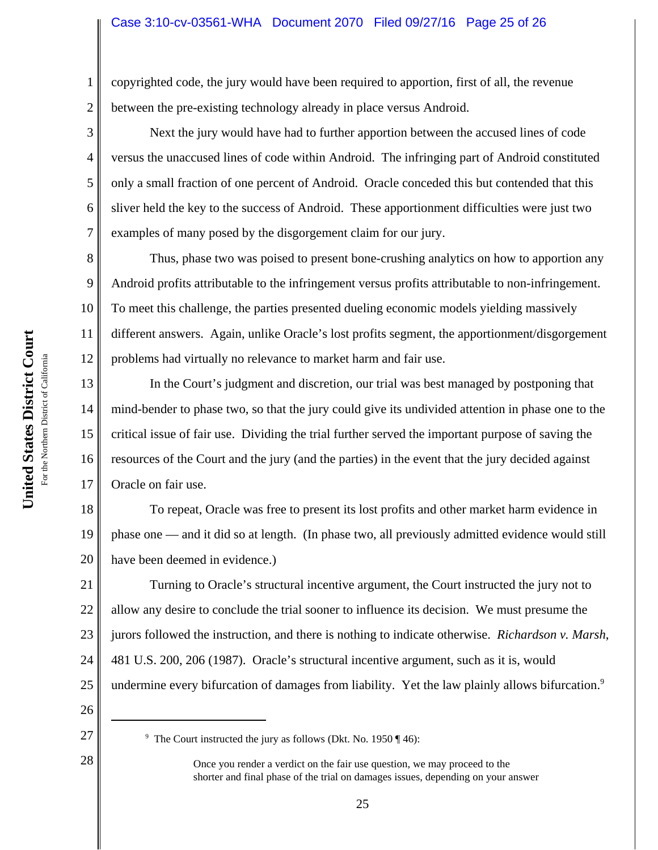# Case 3:10-cv-03561-WHA Document 2070 Filed 09/27/16 Page 25 of 26

copyrighted code, the jury would have been required to apportion, first of all, the revenue between the pre-existing technology already in place versus Android.

Next the jury would have had to further apportion between the accused lines of code versus the unaccused lines of code within Android. The infringing part of Android constituted only a small fraction of one percent of Android. Oracle conceded this but contended that this sliver held the key to the success of Android. These apportionment difficulties were just two examples of many posed by the disgorgement claim for our jury.

8 10 12 Thus, phase two was poised to present bone-crushing analytics on how to apportion any Android profits attributable to the infringement versus profits attributable to non-infringement. To meet this challenge, the parties presented dueling economic models yielding massively different answers. Again, unlike Oracle's lost profits segment, the apportionment/disgorgement problems had virtually no relevance to market harm and fair use.

13 14 15 16 17 In the Court's judgment and discretion, our trial was best managed by postponing that mind-bender to phase two, so that the jury could give its undivided attention in phase one to the critical issue of fair use. Dividing the trial further served the important purpose of saving the resources of the Court and the jury (and the parties) in the event that the jury decided against Oracle on fair use.

18 19 20 To repeat, Oracle was free to present its lost profits and other market harm evidence in phase one — and it did so at length. (In phase two, all previously admitted evidence would still have been deemed in evidence.)

21 22 23 24 25 Turning to Oracle's structural incentive argument, the Court instructed the jury not to allow any desire to conclude the trial sooner to influence its decision. We must presume the jurors followed the instruction, and there is nothing to indicate otherwise. *Richardson v. Marsh*, 481 U.S. 200, 206 (1987). Oracle's structural incentive argument, such as it is, would undermine every bifurcation of damages from liability. Yet the law plainly allows bifurcation.<sup>9</sup>

26 27

28

1

2

3

4

5

6

7

9

<sup>&</sup>lt;sup>9</sup> The Court instructed the jury as follows (Dkt. No. 1950 ¶ 46):

Once you render a verdict on the fair use question, we may proceed to the shorter and final phase of the trial on damages issues, depending on your answer